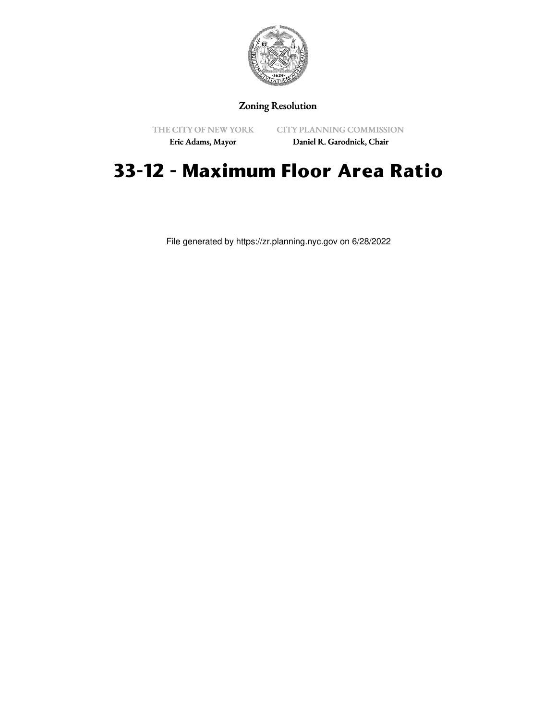

# Zoning Resolution

THE CITY OF NEW YORK Eric Adams, Mayor

CITY PLANNING COMMISSION Daniel R. Garodnick, Chair

# **33-12 - Maximum Floor Area Ratio**

File generated by https://zr.planning.nyc.gov on 6/28/2022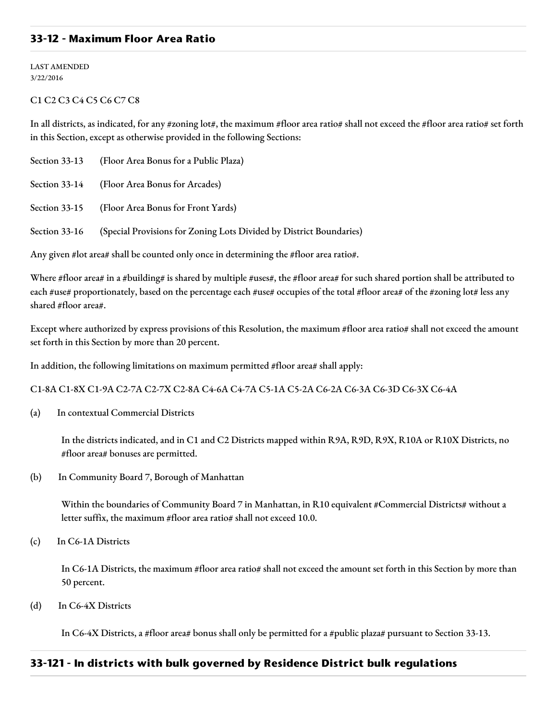# **33-12 - Maximum Floor Area Ratio**

LAST AMENDED 3/22/2016

#### C1 C2 C3 C4 C5 C6 C7 C8

In all districts, as indicated, for any #zoning lot#, the maximum #floor area ratio# shall not exceed the #floor area ratio# set forth in this Section, except as otherwise provided in the following Sections:

|               | Section 33-13 (Floor Area Bonus for a Public Plaza)                 |
|---------------|---------------------------------------------------------------------|
|               | Section 33-14 (Floor Area Bonus for Arcades)                        |
|               | Section 33-15 (Floor Area Bonus for Front Yards)                    |
| Section 33-16 | (Special Provisions for Zoning Lots Divided by District Boundaries) |

Any given #lot area# shall be counted only once in determining the #floor area ratio#.

Where #floor area# in a #building# is shared by multiple #uses#, the #floor area# for such shared portion shall be attributed to each #use# proportionately, based on the percentage each #use# occupies of the total #floor area# of the #zoning lot# less any shared #floor area#.

Except where authorized by express provisions of this Resolution, the maximum #floor area ratio# shall not exceed the amount set forth in this Section by more than 20 percent.

In addition, the following limitations on maximum permitted #floor area# shall apply:

C1-8A C1-8X C1-9A C2-7A C2-7X C2-8A C4-6A C4-7A C5-1A C5-2A C6-2A C6-3A C6-3D C6-3X C6-4A

(a) In contextual Commercial Districts

In the districts indicated, and in C1 and C2 Districts mapped within R9A, R9D, R9X, R10A or R10X Districts, no #floor area# bonuses are permitted.

(b) In Community Board 7, Borough of Manhattan

Within the boundaries of Community Board 7 in Manhattan, in R10 equivalent #Commercial Districts# without a letter suffix, the maximum #floor area ratio# shall not exceed 10.0.

(c) In C6-1A Districts

In C6-1A Districts, the maximum #floor area ratio# shall not exceed the amount set forth in this Section by more than 50 percent.

(d) In C6-4X Districts

In C6-4X Districts, a #floor area# bonus shall only be permitted for a #public plaza# pursuant to Section 33-13.

# **33-121 - In districts with bulk governed by Residence District bulk regulations**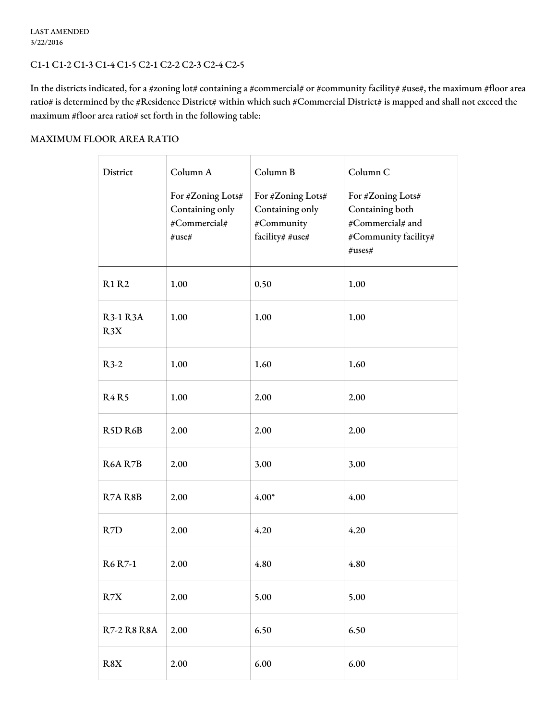## C1-1 C1-2 C1-3 C1-4 C1-5 C2-1 C2-2 C2-3 C2-4 C2-5

In the districts indicated, for a #zoning lot# containing a #commercial# or #community facility# #use#, the maximum #floor area ratio# is determined by the #Residence District# within which such #Commercial District# is mapped and shall not exceed the maximum #floor area ratio# set forth in the following table:

#### MAXIMUM FLOOR AREA RATIO

| District               | Column A<br>For #Zoning Lots#<br>Containing only<br>#Commercial#<br>#use# | Column B<br>For #Zoning Lots#<br>Containing only<br>#Community<br>facility# #use# | Column C<br>For #Zoning Lots#<br>Containing both<br>#Commercial# and<br>#Community facility#<br>$\#uses\#$ |
|------------------------|---------------------------------------------------------------------------|-----------------------------------------------------------------------------------|------------------------------------------------------------------------------------------------------------|
| <b>R1 R2</b>           | 1.00                                                                      | 0.50                                                                              | 1.00                                                                                                       |
| <b>R3-1 R3A</b><br>R3X | 1.00                                                                      | 1.00                                                                              | 1.00                                                                                                       |
| $R3-2$                 | 1.00                                                                      | 1.60                                                                              | 1.60                                                                                                       |
| <b>R4R5</b>            | 1.00                                                                      | 2.00                                                                              | 2.00                                                                                                       |
| R5D R6B                | 2.00                                                                      | 2.00                                                                              | 2.00                                                                                                       |
| <b>R6A R7B</b>         | 2.00                                                                      | 3.00                                                                              | 3.00                                                                                                       |
| R7A R8B                | 2.00                                                                      | $4.00*$                                                                           | 4.00                                                                                                       |
| R <sub>7</sub> D       | 2.00                                                                      | 4.20                                                                              | 4.20                                                                                                       |
| R6 R7-1                | 2.00                                                                      | 4.80                                                                              | 4.80                                                                                                       |
| R7X                    | 2.00                                                                      | 5.00                                                                              | 5.00                                                                                                       |
| <b>R7-2 R8 R8A</b>     | 2.00                                                                      | 6.50                                                                              | 6.50                                                                                                       |
| R8X                    | 2.00                                                                      | 6.00                                                                              | 6.00                                                                                                       |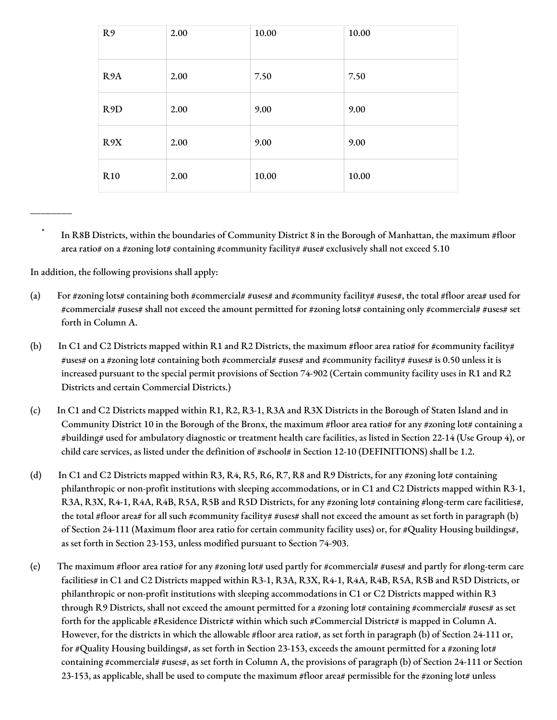| R <sub>9</sub>   | 2.00 | 10.00 | 10.00 |
|------------------|------|-------|-------|
| R9A              | 2.00 | 7.50  | 7.50  |
| R <sub>9</sub> D | 2.00 | 9.00  | 9.00  |
| R9X              | 2.00 | 9.00  | 9.00  |
| <b>R10</b>       | 2.00 | 10.00 | 10.00 |

In R8B Districts, within the boundaries of Community District 8 in the Borough of Manhattan, the maximum #floor area ratio# on a #zoning lot# containing #community facility# #use# exclusively shall not exceed 5.10

In addition, the following provisions shall apply:

\_\_\_\_\_\_\_\_

- (a) For #zoning lots# containing both #commercial# #uses# and #community facility# #uses#, the total #floor area# used for #commercial# #uses# shall not exceed the amount permitted for #zoning lots# containing only #commercial# #uses# set forth in Column A.
- (b) In C1 and C2 Districts mapped within R1 and R2 Districts, the maximum #floor area ratio# for #community facility# #uses# on a #zoning lot# containing both #commercial# #uses# and #community facility# #uses# is 0.50 unless it is increased pursuant to the special permit provisions of Section 74-902 (Certain community facility uses in R1 and R2 Districts and certain Commercial Districts.)
- (c) In C1 and C2 Districts mapped within R1, R2, R3-1, R3A and R3X Districts in the Borough of Staten Island and in Community District 10 in the Borough of the Bronx, the maximum #floor area ratio# for any #zoning lot# containing a #building# used for ambulatory diagnostic or treatment health care facilities, as listed in Section 22-14 (Use Group 4), or child care services, as listed under the definition of #school# in Section 12-10 (DEFINITIONS) shall be 1.2.
- (d) In C1 and C2 Districts mapped within R3, R4, R5, R6, R7, R8 and R9 Districts, for any #zoning lot# containing philanthropic or non-profit institutions with sleeping accommodations, or in C1 and C2 Districts mapped within R3-1, R3A, R3X, R4-1, R4A, R4B, R5A, R5B and R5D Districts, for any #zoning lot# containing #long-term care facilities#, the total #floor area# for all such #community facility# #uses# shall not exceed the amount as set forth in paragraph (b) of Section 24-111 (Maximum floor area ratio for certain community facility uses) or, for #Quality Housing buildings#, as set forth in Section 23-153, unless modified pursuant to Section 74-903.
- (e) The maximum #floor area ratio# for any #zoning lot# used partly for #commercial# #uses# and partly for #long-term care facilities# in C1 and C2 Districts mapped within R3-1, R3A, R3X, R4-1, R4A, R4B, R5A, R5B and R5D Districts, or philanthropic or non-profit institutions with sleeping accommodations in C1 or C2 Districts mapped within R3 through R9 Districts, shall not exceed the amount permitted for a #zoning lot# containing #commercial# #uses# as set forth for the applicable #Residence District# within which such #Commercial District# is mapped in Column A. However, for the districts in which the allowable #floor area ratio#, as set forth in paragraph (b) of Section 24-111 or, for #Quality Housing buildings#, as set forth in Section 23-153, exceeds the amount permitted for a #zoning lot# containing #commercial# #uses#, as set forth in Column A, the provisions of paragraph (b) of Section 24-111 or Section 23-153, as applicable, shall be used to compute the maximum #floor area# permissible for the #zoning lot# unless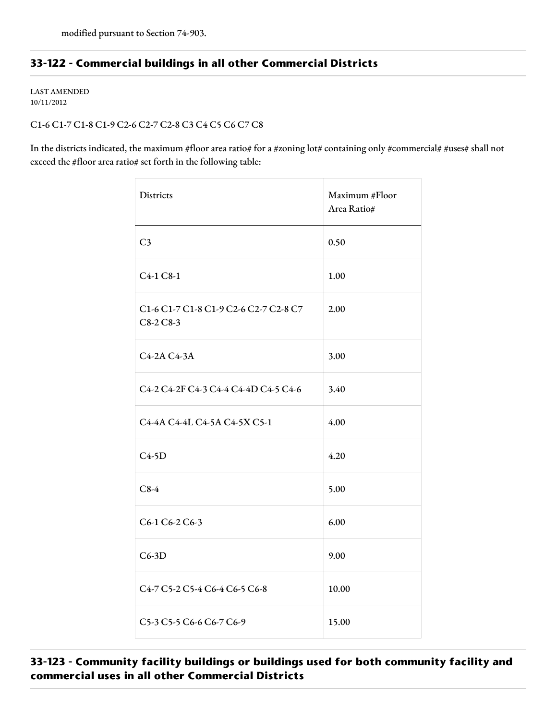# **33-122 - Commercial buildings in all other Commercial Districts**

LAST AMENDED 10/11/2012

## C1-6 C1-7 C1-8 C1-9 C2-6 C2-7 C2-8 C3 C4 C5 C6 C7 C8

In the districts indicated, the maximum #floor area ratio# for a #zoning lot# containing only #commercial# #uses# shall not exceed the #floor area ratio# set forth in the following table:

| <b>Districts</b>                                    | Maximum #Floor<br>Area Ratio# |
|-----------------------------------------------------|-------------------------------|
| C <sub>3</sub>                                      | 0.50                          |
| C <sub>4</sub> -1 C <sub>8</sub> -1                 | 1.00                          |
| C1-6 C1-7 C1-8 C1-9 C2-6 C2-7 C2-8 C7<br>$C8-2C8-3$ | 2.00                          |
| C4-2A C4-3A                                         | 3.00                          |
| C4-2 C4-2F C4-3 C4-4 C4-4D C4-5 C4-6                | 3.40                          |
| C4-4A C4-4L C4-5A C4-5X C5-1                        | 4.00                          |
| $C4-5D$                                             | 4.20                          |
| $C8-4$                                              | 5.00                          |
| C6-1 C6-2 C6-3                                      | 6.00                          |
| $C6-3D$                                             | 9.00                          |
| C4-7 C5-2 C5-4 C6-4 C6-5 C6-8                       | 10.00                         |
| C5-3 C5-5 C6-6 C6-7 C6-9                            | 15.00                         |

**33-123 - Community facility buildings or buildings used for both community facility and commercial uses in all other Commercial Districts**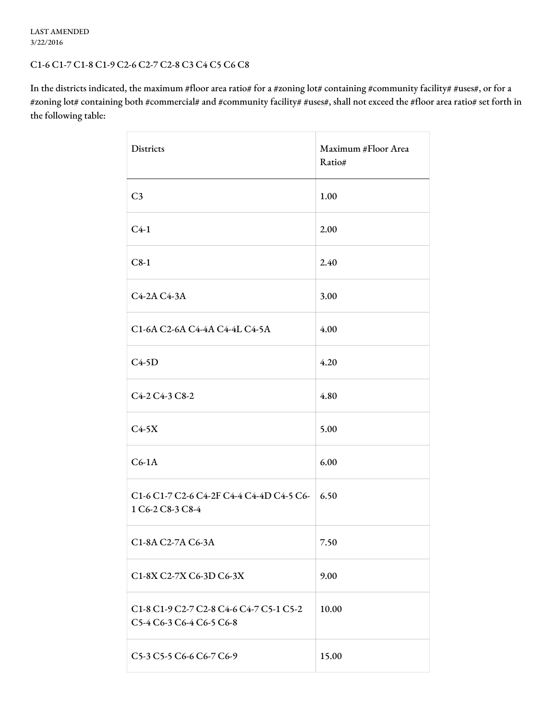## C1-6 C1-7 C1-8 C1-9 C2-6 C2-7 C2-8 C3 C4 C5 C6 C8

In the districts indicated, the maximum #floor area ratio# for a #zoning lot# containing #community facility# #uses#, or for a #zoning lot# containing both #commercial# and #community facility# #uses#, shall not exceed the #floor area ratio# set forth in the following table:

| Districts                                                           | Maximum #Floor Area<br>Ratio# |
|---------------------------------------------------------------------|-------------------------------|
| C <sub>3</sub>                                                      | 1.00                          |
| $C_{4-1}$                                                           | 2.00                          |
| $C8-1$                                                              | 2.40                          |
| C4-2A C4-3A                                                         | 3.00                          |
| C1-6A C2-6A C4-4A C4-4L C4-5A                                       | 4.00                          |
| $C4-5D$                                                             | 4.20                          |
| C4-2 C4-3 C8-2                                                      | 4.80                          |
| $C4-5X$                                                             | 5.00                          |
| $C6-1A$                                                             | 6.00                          |
| C1-6 C1-7 C2-6 C4-2F C4-4 C4-4D C4-5 C6-<br>1 C6-2 C8-3 C8-4        | 6.50                          |
| C1-8A C2-7A C6-3A                                                   | 7.50                          |
| C1-8X C2-7X C6-3D C6-3X                                             | 9.00                          |
| C1-8 C1-9 C2-7 C2-8 C4-6 C4-7 C5-1 C5-2<br>C5-4 C6-3 C6-4 C6-5 C6-8 | 10.00                         |
| C5-3 C5-5 C6-6 C6-7 C6-9                                            | 15.00                         |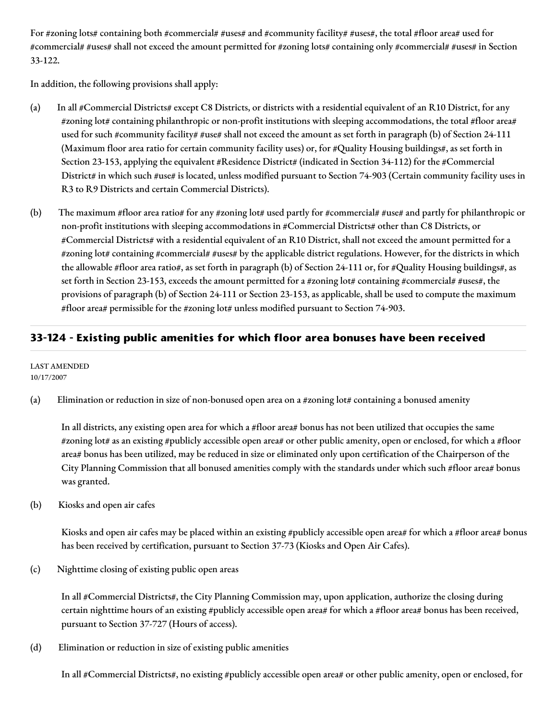For #zoning lots# containing both #commercial# #uses# and #community facility# #uses#, the total #floor area# used for #commercial# #uses# shall not exceed the amount permitted for #zoning lots# containing only #commercial# #uses# in Section 33-122.

In addition, the following provisions shall apply:

- (a) In all #Commercial Districts# except C8 Districts, or districts with a residential equivalent of an R10 District, for any #zoning lot# containing philanthropic or non-profit institutions with sleeping accommodations, the total #floor area# used for such #community facility# #use# shall not exceed the amount as set forth in paragraph (b) of Section 24-111 (Maximum floor area ratio for certain community facility uses) or, for #Quality Housing buildings#, as set forth in Section 23-153, applying the equivalent #Residence District# (indicated in Section 34-112) for the #Commercial District# in which such #use# is located, unless modified pursuant to Section 74-903 (Certain community facility uses in R3 to R9 Districts and certain Commercial Districts).
- (b) The maximum #floor area ratio# for any #zoning lot# used partly for #commercial# #use# and partly for philanthropic or non-profit institutions with sleeping accommodations in #Commercial Districts# other than C8 Districts, or #Commercial Districts# with a residential equivalent of an R10 District, shall not exceed the amount permitted for a #zoning lot# containing #commercial# #uses# by the applicable district regulations. However, for the districts in which the allowable #floor area ratio#, as set forth in paragraph (b) of Section 24-111 or, for #Quality Housing buildings#, as set forth in Section 23-153, exceeds the amount permitted for a #zoning lot# containing #commercial# #uses#, the provisions of paragraph (b) of Section 24-111 or Section 23-153, as applicable, shall be used to compute the maximum #floor area# permissible for the #zoning lot# unless modified pursuant to Section 74-903.

# **33-124 - Existing public amenities for which floor area bonuses have been received**

LAST AMENDED 10/17/2007

(a) Elimination or reduction in size of non-bonused open area on a #zoning lot# containing a bonused amenity

In all districts, any existing open area for which a #floor area# bonus has not been utilized that occupies the same #zoning lot# as an existing #publicly accessible open area# or other public amenity, open or enclosed, for which a #floor area# bonus has been utilized, may be reduced in size or eliminated only upon certification of the Chairperson of the City Planning Commission that all bonused amenities comply with the standards under which such #floor area# bonus was granted.

(b) Kiosks and open air cafes

Kiosks and open air cafes may be placed within an existing #publicly accessible open area# for which a #floor area# bonus has been received by certification, pursuant to Section 37-73 (Kiosks and Open Air Cafes).

(c) Nighttime closing of existing public open areas

In all #Commercial Districts#, the City Planning Commission may, upon application, authorize the closing during certain nighttime hours of an existing #publicly accessible open area# for which a #floor area# bonus has been received, pursuant to Section 37-727 (Hours of access).

(d) Elimination or reduction in size of existing public amenities

In all #Commercial Districts#, no existing #publicly accessible open area# or other public amenity, open or enclosed, for